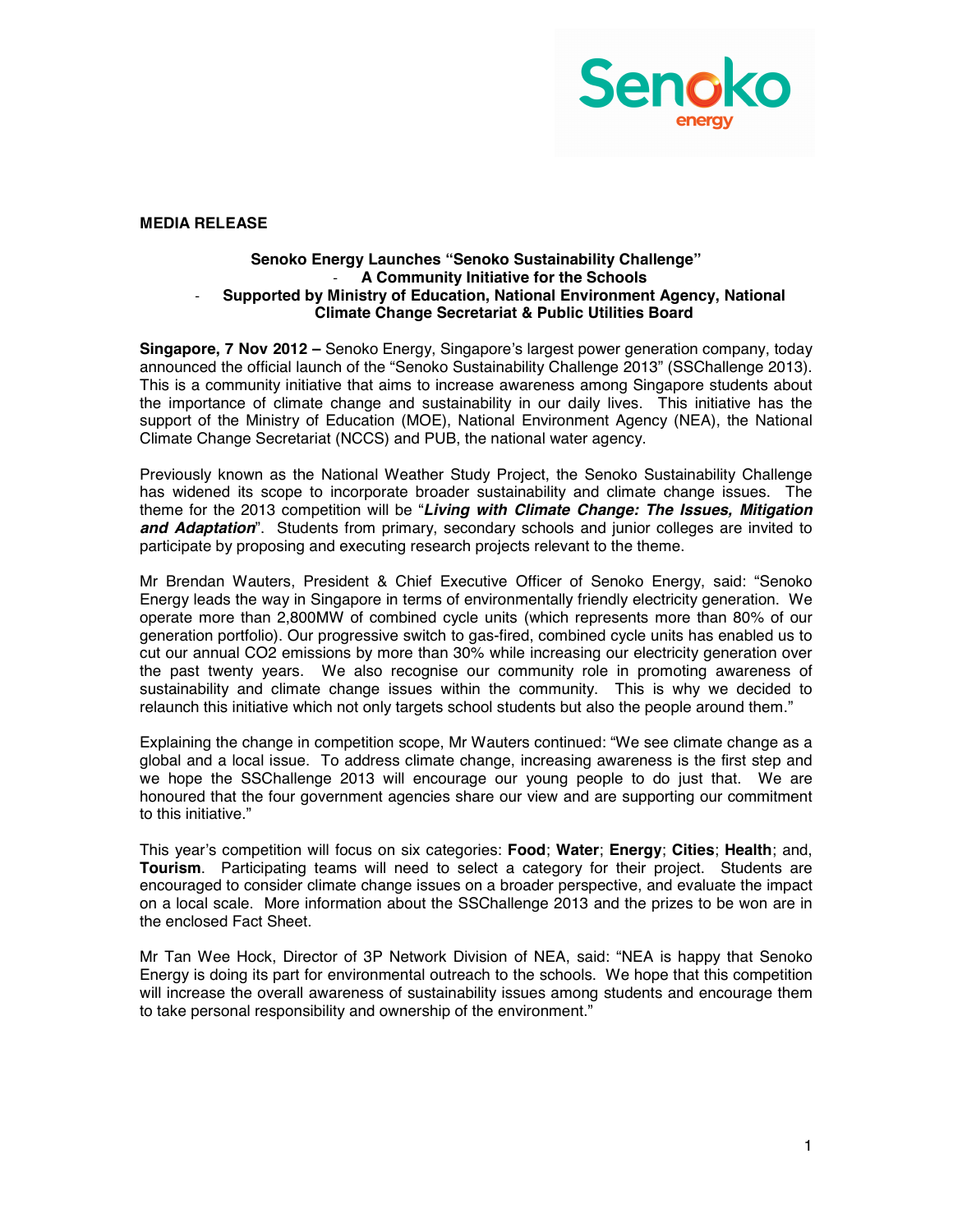

## **MEDIA RELEASE**

## **Senoko Energy Launches "Senoko Sustainability Challenge" A Community Initiative for the Schools Supported by Ministry of Education, National Environment Agency, National Climate Change Secretariat & Public Utilities Board**

**Singapore, 7 Nov 2012 –** Senoko Energy, Singapore's largest power generation company, today announced the official launch of the "Senoko Sustainability Challenge 2013" (SSChallenge 2013). This is a community initiative that aims to increase awareness among Singapore students about the importance of climate change and sustainability in our daily lives. This initiative has the support of the Ministry of Education (MOE), National Environment Agency (NEA), the National Climate Change Secretariat (NCCS) and PUB, the national water agency.

Previously known as the National Weather Study Project, the Senoko Sustainability Challenge has widened its scope to incorporate broader sustainability and climate change issues. The theme for the 2013 competition will be "*Living with Climate Change: The Issues, Mitigation and Adaptation*". Students from primary, secondary schools and junior colleges are invited to participate by proposing and executing research projects relevant to the theme.

Mr Brendan Wauters, President & Chief Executive Officer of Senoko Energy, said: "Senoko Energy leads the way in Singapore in terms of environmentally friendly electricity generation. We operate more than 2,800MW of combined cycle units (which represents more than 80% of our generation portfolio). Our progressive switch to gas-fired, combined cycle units has enabled us to cut our annual CO2 emissions by more than 30% while increasing our electricity generation over the past twenty years. We also recognise our community role in promoting awareness of sustainability and climate change issues within the community. This is why we decided to relaunch this initiative which not only targets school students but also the people around them."

Explaining the change in competition scope, Mr Wauters continued: "We see climate change as a global and a local issue. To address climate change, increasing awareness is the first step and we hope the SSChallenge 2013 will encourage our young people to do just that. We are honoured that the four government agencies share our view and are supporting our commitment to this initiative."

This year's competition will focus on six categories: **Food**; **Water**; **Energy**; **Cities**; **Health**; and, **Tourism**. Participating teams will need to select a category for their project. Students are encouraged to consider climate change issues on a broader perspective, and evaluate the impact on a local scale. More information about the SSChallenge 2013 and the prizes to be won are in the enclosed Fact Sheet.

Mr Tan Wee Hock, Director of 3P Network Division of NEA, said: "NEA is happy that Senoko Energy is doing its part for environmental outreach to the schools. We hope that this competition will increase the overall awareness of sustainability issues among students and encourage them to take personal responsibility and ownership of the environment."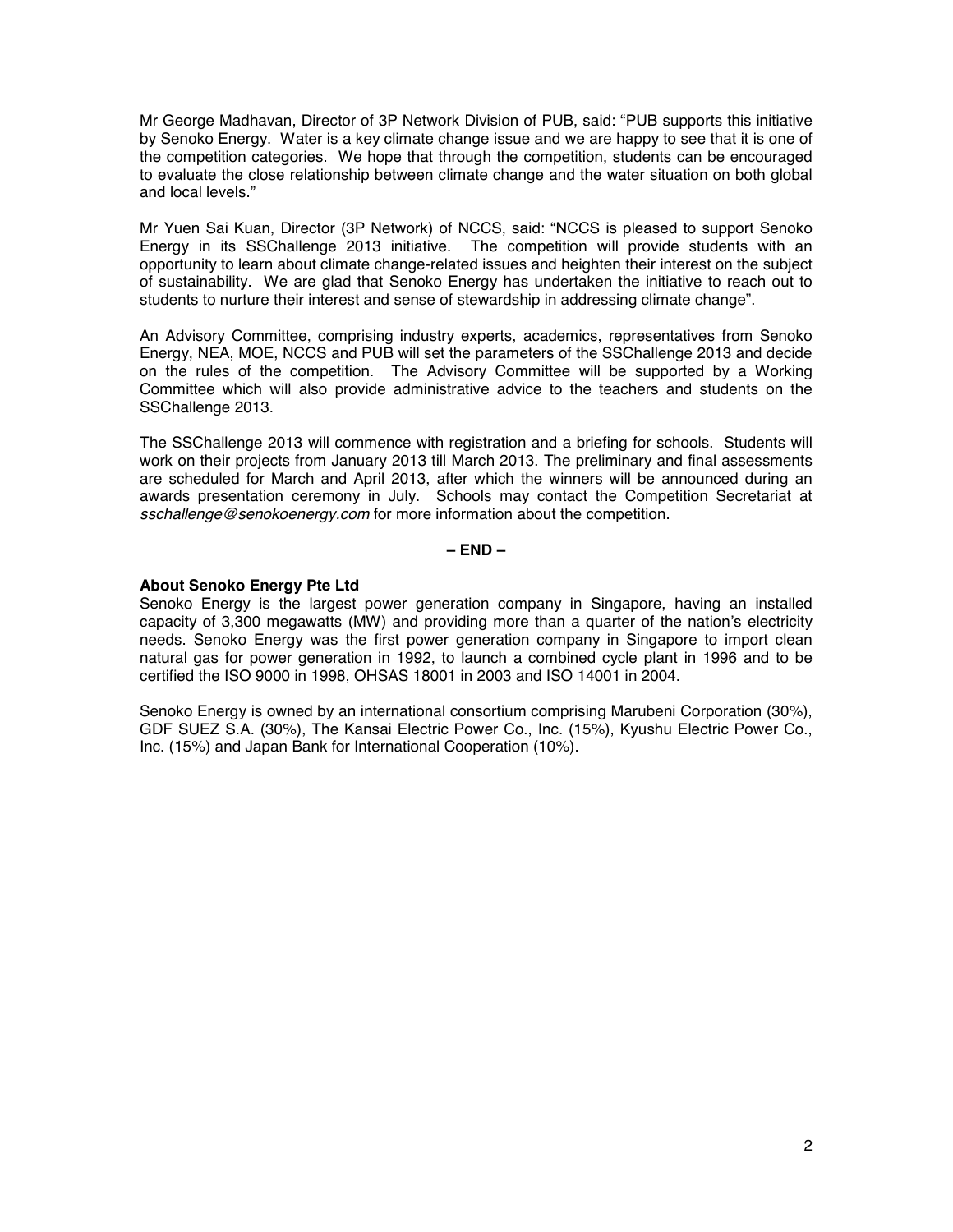Mr George Madhavan, Director of 3P Network Division of PUB, said: "PUB supports this initiative by Senoko Energy. Water is a key climate change issue and we are happy to see that it is one of the competition categories. We hope that through the competition, students can be encouraged to evaluate the close relationship between climate change and the water situation on both global and local levels."

Mr Yuen Sai Kuan, Director (3P Network) of NCCS, said: "NCCS is pleased to support Senoko Energy in its SSChallenge 2013 initiative. The competition will provide students with an opportunity to learn about climate change-related issues and heighten their interest on the subject of sustainability. We are glad that Senoko Energy has undertaken the initiative to reach out to students to nurture their interest and sense of stewardship in addressing climate change".

An Advisory Committee, comprising industry experts, academics, representatives from Senoko Energy, NEA, MOE, NCCS and PUB will set the parameters of the SSChallenge 2013 and decide on the rules of the competition. The Advisory Committee will be supported by a Working Committee which will also provide administrative advice to the teachers and students on the SSChallenge 2013.

The SSChallenge 2013 will commence with registration and a briefing for schools. Students will work on their projects from January 2013 till March 2013. The preliminary and final assessments are scheduled for March and April 2013, after which the winners will be announced during an awards presentation ceremony in July. Schools may contact the Competition Secretariat at *sschallenge@senokoenergy.com* for more information about the competition.

**– END –**

## **About Senoko Energy Pte Ltd**

Senoko Energy is the largest power generation company in Singapore, having an installed capacity of 3,300 megawatts (MW) and providing more than a quarter of the nation's electricity needs. Senoko Energy was the first power generation company in Singapore to import clean natural gas for power generation in 1992, to launch a combined cycle plant in 1996 and to be certified the ISO 9000 in 1998, OHSAS 18001 in 2003 and ISO 14001 in 2004.

Senoko Energy is owned by an international consortium comprising Marubeni Corporation (30%), GDF SUEZ S.A. (30%), The Kansai Electric Power Co., Inc. (15%), Kyushu Electric Power Co., Inc. (15%) and Japan Bank for International Cooperation (10%).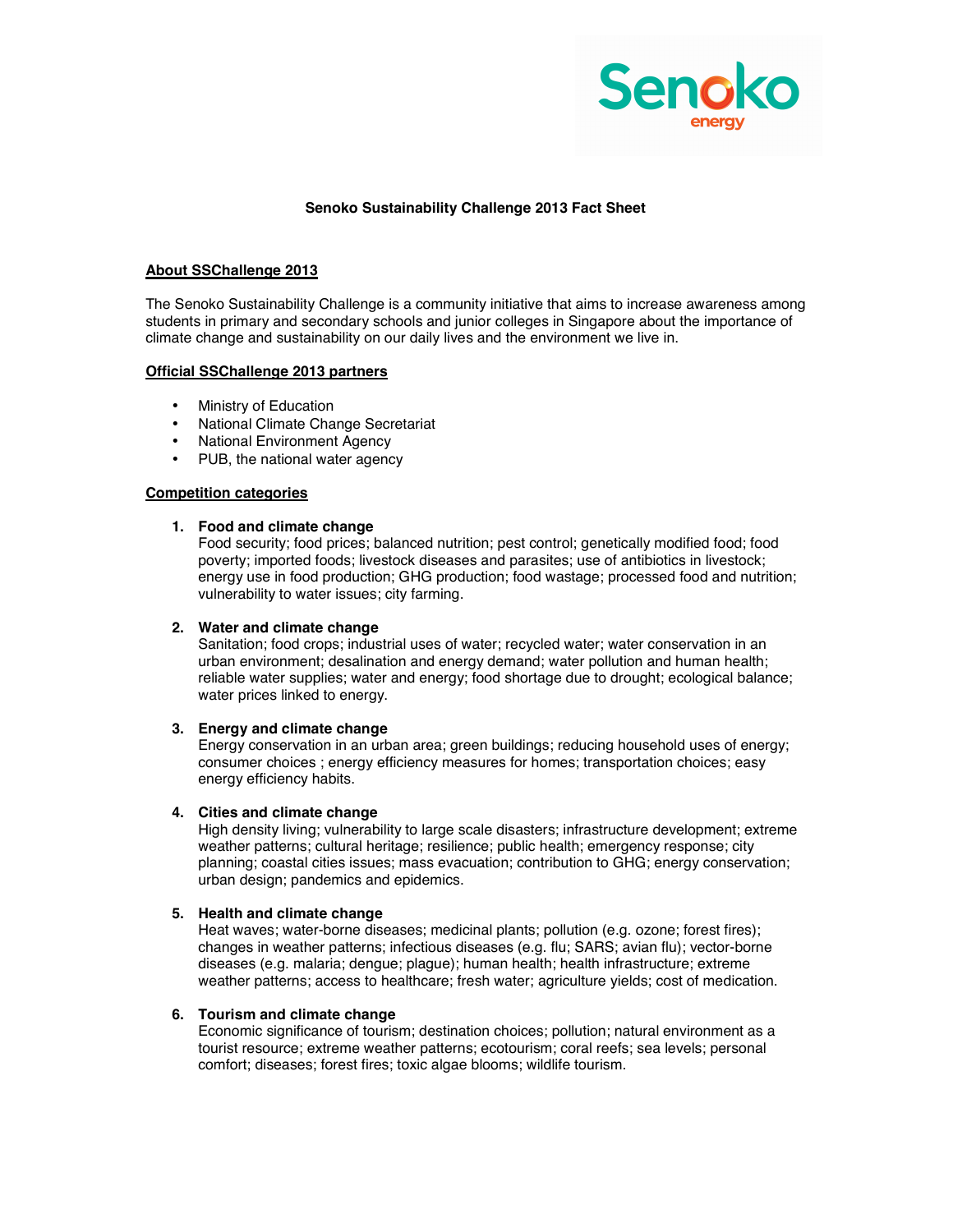

## **Senoko Sustainability Challenge 2013 Fact Sheet**

## **About SSChallenge 2013**

The Senoko Sustainability Challenge is a community initiative that aims to increase awareness among students in primary and secondary schools and junior colleges in Singapore about the importance of climate change and sustainability on our daily lives and the environment we live in.

## **Official SSChallenge 2013 partners**

- Ministry of Education
- National Climate Change Secretariat
- National Environment Agency
- PUB, the national water agency

#### **Competition categories**

#### **1. Food and climate change**

Food security; food prices; balanced nutrition; pest control; genetically modified food; food poverty; imported foods; livestock diseases and parasites; use of antibiotics in livestock; energy use in food production; GHG production; food wastage; processed food and nutrition; vulnerability to water issues; city farming.

#### **2. Water and climate change**

Sanitation; food crops; industrial uses of water; recycled water; water conservation in an urban environment; desalination and energy demand; water pollution and human health; reliable water supplies; water and energy; food shortage due to drought; ecological balance; water prices linked to energy.

## **3. Energy and climate change**

Energy conservation in an urban area; green buildings; reducing household uses of energy; consumer choices ; energy efficiency measures for homes; transportation choices; easy energy efficiency habits.

#### **4. Cities and climate change**

High density living; vulnerability to large scale disasters; infrastructure development; extreme weather patterns; cultural heritage; resilience; public health; emergency response; city planning; coastal cities issues; mass evacuation; contribution to GHG; energy conservation; urban design; pandemics and epidemics.

## **5. Health and climate change**

Heat waves; water-borne diseases; medicinal plants; pollution (e.g. ozone; forest fires); changes in weather patterns; infectious diseases (e.g. flu; SARS; avian flu); vector-borne diseases (e.g. malaria; dengue; plague); human health; health infrastructure; extreme weather patterns; access to healthcare; fresh water; agriculture yields; cost of medication.

#### **6. Tourism and climate change**

Economic significance of tourism; destination choices; pollution; natural environment as a tourist resource; extreme weather patterns; ecotourism; coral reefs; sea levels; personal comfort; diseases; forest fires; toxic algae blooms; wildlife tourism.